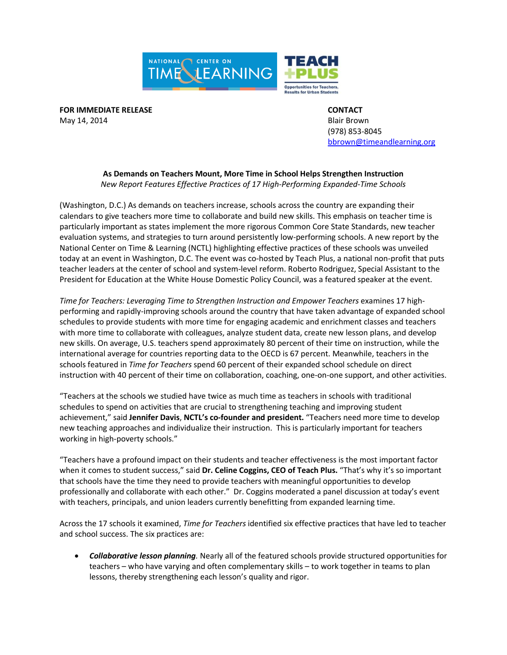

**FOR IMMEDIATE RELEASE CONTACT** May 14, 2014 **Blair Brown** 

(978) 853-8045 [bbrown@timeandlearning.org](mailto:bbrown@timeandlearning.org)

## **As Demands on Teachers Mount, More Time in School Helps Strengthen Instruction** *New Report Features Effective Practices of 17 High-Performing Expanded-Time Schools*

(Washington, D.C.) As demands on teachers increase, schools across the country are expanding their calendars to give teachers more time to collaborate and build new skills. This emphasis on teacher time is particularly important as states implement the more rigorous Common Core State Standards, new teacher evaluation systems, and strategies to turn around persistently low-performing schools. A new report by the National Center on Time & Learning (NCTL) highlighting effective practices of these schools was unveiled today at an event in Washington, D.C. The event was co-hosted by Teach Plus, a national non-profit that puts teacher leaders at the center of school and system-level reform. Roberto Rodriguez, Special Assistant to the President for Education at the White House Domestic Policy Council, was a featured speaker at the event.

*Time for Teachers: Leveraging Time to Strengthen Instruction and Empower Teachers* examines 17 highperforming and rapidly-improving schools around the country that have taken advantage of expanded school schedules to provide students with more time for engaging academic and enrichment classes and teachers with more time to collaborate with colleagues, analyze student data, create new lesson plans, and develop new skills. On average, U.S. teachers spend approximately 80 percent of their time on instruction, while the international average for countries reporting data to the OECD is 67 percent. Meanwhile, teachers in the schools featured in *Time for Teachers* spend 60 percent of their expanded school schedule on direct instruction with 40 percent of their time on collaboration, coaching, one-on-one support, and other activities.

"Teachers at the schools we studied have twice as much time as teachers in schools with traditional schedules to spend on activities that are crucial to strengthening teaching and improving student achievement," said **Jennifer Davis**, **NCTL's co-founder and president.** "Teachers need more time to develop new teaching approaches and individualize their instruction. This is particularly important for teachers working in high-poverty schools."

"Teachers have a profound impact on their students and teacher effectiveness is the most important factor when it comes to student success," said **Dr. Celine Coggins, CEO of Teach Plus.** "That's why it's so important that schools have the time they need to provide teachers with meaningful opportunities to develop professionally and collaborate with each other." Dr. Coggins moderated a panel discussion at today's event with teachers, principals, and union leaders currently benefitting from expanded learning time.

Across the 17 schools it examined, *Time for Teachers* identified six effective practices that have led to teacher and school success. The six practices are:

 *Collaborative lesson planning.* Nearly all of the featured schools provide structured opportunities for teachers – who have varying and often complementary skills – to work together in teams to plan lessons, thereby strengthening each lesson's quality and rigor.